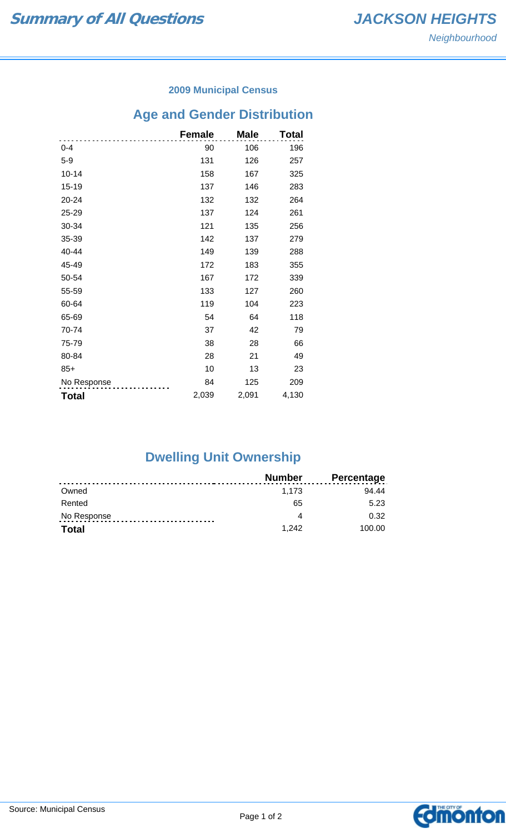#### **2009 Municipal Census**

# **Age and Gender Distribution**

|              | <b>Female</b> | <b>Male</b> | Total |
|--------------|---------------|-------------|-------|
| $0 - 4$      | 90            | 106         | 196   |
| $5-9$        | 131           | 126         | 257   |
| $10 - 14$    | 158           | 167         | 325   |
| $15 - 19$    | 137           | 146         | 283   |
| 20-24        | 132           | 132         | 264   |
| 25-29        | 137           | 124         | 261   |
| 30-34        | 121           | 135         | 256   |
| 35-39        | 142           | 137         | 279   |
| 40-44        | 149           | 139         | 288   |
| 45-49        | 172           | 183         | 355   |
| 50-54        | 167           | 172         | 339   |
| 55-59        | 133           | 127         | 260   |
| 60-64        | 119           | 104         | 223   |
| 65-69        | 54            | 64          | 118   |
| 70-74        | 37            | 42          | 79    |
| 75-79        | 38            | 28          | 66    |
| 80-84        | 28            | 21          | 49    |
| $85+$        | 10            | 13          | 23    |
| No Response  | 84            | 125         | 209   |
| <b>Total</b> | 2,039         | 2,091       | 4,130 |

## **Dwelling Unit Ownership**

|              | Number | Percentage |
|--------------|--------|------------|
| Owned        | 1.173  | 94 44      |
| Rented       | 65     | 5.23       |
| No Response  |        | 0.32       |
| <b>Total</b> | 1.242  | 100.00     |